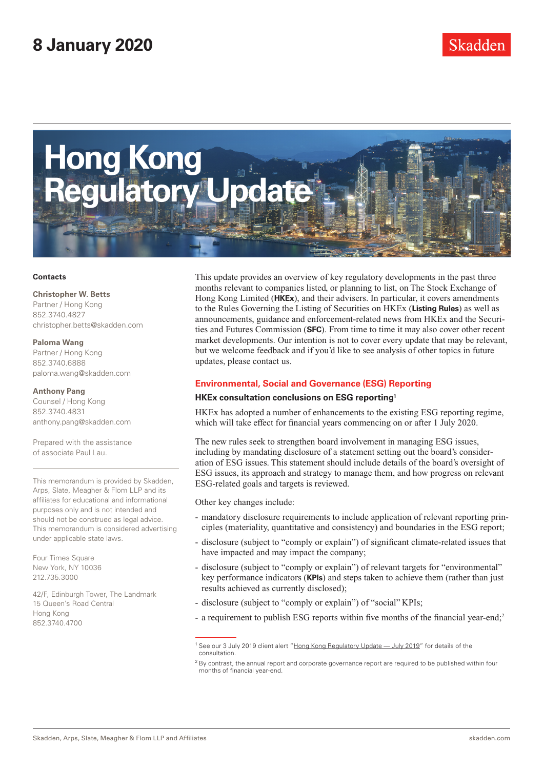

#### **Contacts**

#### **Christopher W. Betts**

Partner / Hong Kong 852.3740.4827 christopher.betts@skadden.com

#### **Paloma Wang**

Partner / Hong Kong 852.3740.6888 paloma.wang@skadden.com

#### **Anthony Pang**

Counsel / Hong Kong 852.3740.4831 anthony.pang@skadden.com

Prepared with the assistance of associate Paul Lau.

This memorandum is provided by Skadden, Arps, Slate, Meagher & Flom LLP and its affiliates for educational and informational purposes only and is not intended and should not be construed as legal advice. This memorandum is considered advertising under applicable state laws.

Four Times Square New York, NY 10036 212.735.3000

42/F, Edinburgh Tower, The Landmark 15 Queen's Road Central Hong Kong 852.3740.4700

This update provides an overview of key regulatory developments in the past three months relevant to companies listed, or planning to list, on The Stock Exchange of Hong Kong Limited (**HKEx**), and their advisers. In particular, it covers amendments to the Rules Governing the Listing of Securities on HKEx (**Listing Rules**) as well as announcements, guidance and enforcement-related news from HKEx and the Securities and Futures Commission (**SFC**). From time to time it may also cover other recent market developments. Our intention is not to cover every update that may be relevant, but we welcome feedback and if you'd like to see analysis of other topics in future updates, please contact us.

### **Environmental, Social and Governance (ESG) Reporting**

### **HKEx consultation conclusions on ESG reporting1**

HKEx has adopted a number of enhancements to the existing ESG reporting regime, which will take effect for financial years commencing on or after 1 July 2020.

The new rules seek to strengthen board involvement in managing ESG issues, including by mandating disclosure of a statement setting out the board's consideration of ESG issues. This statement should include details of the board's oversight of ESG issues, its approach and strategy to manage them, and how progress on relevant ESG-related goals and targets is reviewed.

Other key changes include:

- mandatory disclosure requirements to include application of relevant reporting principles (materiality, quantitative and consistency) and boundaries in the ESG report;
- disclosure (subject to "comply or explain") of significant climate-related issues that have impacted and may impact the company;
- disclosure (subject to "comply or explain") of relevant targets for "environmental" key performance indicators (**KPIs**) and steps taken to achieve them (rather than just results achieved as currently disclosed);
- disclosure (subject to "comply or explain") of "social" KPIs;
- a requirement to publish ESG reports within five months of the financial year-end;<sup>2</sup>

<sup>&</sup>lt;sup>1</sup> See our 3 July 2019 client alert ["Hong Kong Regulatory Update — July 2019](https://www.skadden.com/insights/publications/2019/07/hong-kong-regulatory-update-july-2019)" for details of the consultation.

<sup>&</sup>lt;sup>2</sup> By contrast, the annual report and corporate governance report are required to be published within four months of financial year-end.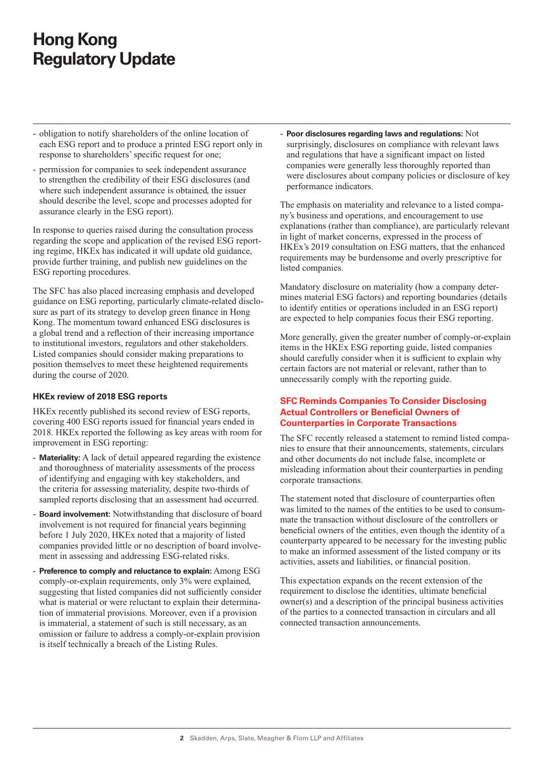- obligation to notify shareholders of the online location of each ESG report and to produce a printed ESG report only in response to shareholders' specific request for one;
- permission for companies to seek independent assurance to strengthen the credibility of their ESG disclosures (and where such independent assurance is obtained, the issuer should describe the level, scope and processes adopted for assurance clearly in the ESG report).

In response to queries raised during the consultation process regarding the scope and application of the revised ESG reporting regime, HKEx has indicated it will update old guidance, provide further training, and publish new guidelines on the ESG reporting procedures.

The SFC has also placed increasing emphasis and developed guidance on ESG reporting, particularly climate-related disclosure as part of its strategy to develop green finance in Hong Kong. The momentum toward enhanced ESG disclosures is a global trend and a reflection of their increasing importance to institutional investors, regulators and other stakeholders. Listed companies should consider making preparations to position themselves to meet these heightened requirements during the course of 2020.

### **HKEx review of 2018 ESG reports**

HKEx recently published its second review of ESG reports, covering 400 ESG reports issued for financial years ended in 2018. HKEx reported the following as key areas with room for improvement in ESG reporting:

- **Materiality:** A lack of detail appeared regarding the existence and thoroughness of materiality assessments of the process of identifying and engaging with key stakeholders, and the criteria for assessing materiality, despite two-thirds of sampled reports disclosing that an assessment had occurred.
- **Board involvement:** Notwithstanding that disclosure of board involvement is not required for financial years beginning before 1 July 2020, HKEx noted that a majority of listed companies provided little or no description of board involvement in assessing and addressing ESG-related risks.
- Preference to comply and reluctance to explain: Among ESG comply-or-explain requirements, only 3% were explained, suggesting that listed companies did not sufficiently consider what is material or were reluctant to explain their determination of immaterial provisions. Moreover, even if a provision is immaterial, a statement of such is still necessary, as an omission or failure to address a comply-or-explain provision is itself technically a breach of the Listing Rules.

- **Poor disclosures regarding laws and regulations:** Not surprisingly, disclosures on compliance with relevant laws and regulations that have a significant impact on listed companies were generally less thoroughly reported than were disclosures about company policies or disclosure of key performance indicators.

The emphasis on materiality and relevance to a listed company's business and operations, and encouragement to use explanations (rather than compliance), are particularly relevant in light of market concerns, expressed in the process of HKEx's 2019 consultation on ESG matters, that the enhanced requirements may be burdensome and overly prescriptive for listed companies.

Mandatory disclosure on materiality (how a company determines material ESG factors) and reporting boundaries (details to identify entities or operations included in an ESG report) are expected to help companies focus their ESG reporting.

More generally, given the greater number of comply-or-explain items in the HKEx ESG reporting guide, listed companies should carefully consider when it is sufficient to explain why certain factors are not material or relevant, rather than to unnecessarily comply with the reporting guide.

## **SFC Reminds Companies To Consider Disclosing Actual Controllers or Beneficial Owners of Counterparties in Corporate Transactions**

The SFC recently released a statement to remind listed companies to ensure that their announcements, statements, circulars and other documents do not include false, incomplete or misleading information about their counterparties in pending corporate transactions.

The statement noted that disclosure of counterparties often was limited to the names of the entities to be used to consummate the transaction without disclosure of the controllers or beneficial owners of the entities, even though the identity of a counterparty appeared to be necessary for the investing public to make an informed assessment of the listed company or its activities, assets and liabilities, or financial position.

This expectation expands on the recent extension of the requirement to disclose the identities, ultimate beneficial owner(s) and a description of the principal business activities of the parties to a connected transaction in circulars and all connected transaction announcements.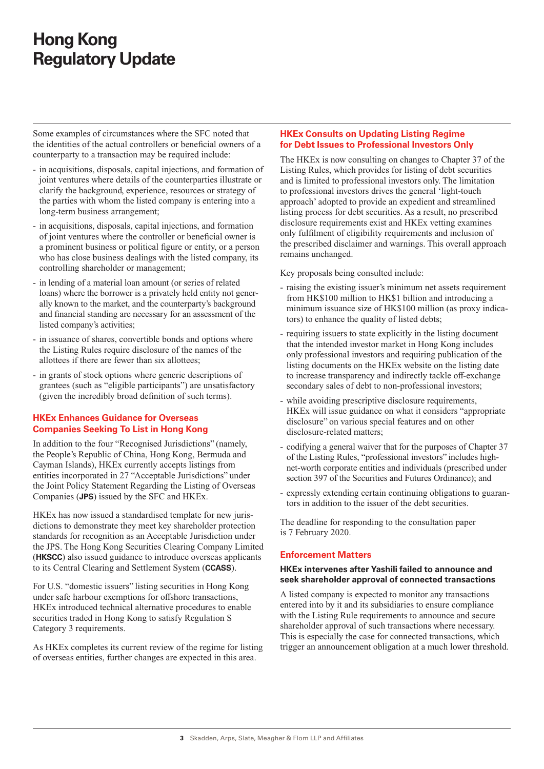Some examples of circumstances where the SFC noted that the identities of the actual controllers or beneficial owners of a counterparty to a transaction may be required include:

- in acquisitions, disposals, capital injections, and formation of joint ventures where details of the counterparties illustrate or clarify the background, experience, resources or strategy of the parties with whom the listed company is entering into a long-term business arrangement;
- in acquisitions, disposals, capital injections, and formation of joint ventures where the controller or beneficial owner is a prominent business or political figure or entity, or a person who has close business dealings with the listed company, its controlling shareholder or management;
- in lending of a material loan amount (or series of related loans) where the borrower is a privately held entity not generally known to the market, and the counterparty's background and financial standing are necessary for an assessment of the listed company's activities;
- in issuance of shares, convertible bonds and options where the Listing Rules require disclosure of the names of the allottees if there are fewer than six allottees;
- in grants of stock options where generic descriptions of grantees (such as "eligible participants") are unsatisfactory (given the incredibly broad definition of such terms).

## **HKEx Enhances Guidance for Overseas Companies Seeking To List in Hong Kong**

In addition to the four "Recognised Jurisdictions" (namely, the People's Republic of China, Hong Kong, Bermuda and Cayman Islands), HKEx currently accepts listings from entities incorporated in 27 "Acceptable Jurisdictions" under the Joint Policy Statement Regarding the Listing of Overseas Companies (**JPS**) issued by the SFC and HKEx.

HKEx has now issued a standardised template for new jurisdictions to demonstrate they meet key shareholder protection standards for recognition as an Acceptable Jurisdiction under the JPS. The Hong Kong Securities Clearing Company Limited (**HKSCC**) also issued guidance to introduce overseas applicants to its Central Clearing and Settlement System (**CCASS**).

For U.S. "domestic issuers" listing securities in Hong Kong under safe harbour exemptions for offshore transactions, HKEx introduced technical alternative procedures to enable securities traded in Hong Kong to satisfy Regulation S Category 3 requirements.

As HKEx completes its current review of the regime for listing of overseas entities, further changes are expected in this area.

## **HKEx Consults on Updating Listing Regime for Debt Issues to Professional Investors Only**

The HKEx is now consulting on changes to Chapter 37 of the Listing Rules, which provides for listing of debt securities and is limited to professional investors only. The limitation to professional investors drives the general 'light-touch approach' adopted to provide an expedient and streamlined listing process for debt securities. As a result, no prescribed disclosure requirements exist and HKEx vetting examines only fulfilment of eligibility requirements and inclusion of the prescribed disclaimer and warnings. This overall approach remains unchanged.

Key proposals being consulted include:

- raising the existing issuer's minimum net assets requirement from HK\$100 million to HK\$1 billion and introducing a minimum issuance size of HK\$100 million (as proxy indicators) to enhance the quality of listed debts;
- requiring issuers to state explicitly in the listing document that the intended investor market in Hong Kong includes only professional investors and requiring publication of the listing documents on the HKEx website on the listing date to increase transparency and indirectly tackle off-exchange secondary sales of debt to non-professional investors;
- while avoiding prescriptive disclosure requirements, HKEx will issue guidance on what it considers "appropriate disclosure" on various special features and on other disclosure-related matters;
- codifying a general waiver that for the purposes of Chapter 37 of the Listing Rules, "professional investors" includes highnet-worth corporate entities and individuals (prescribed under section 397 of the Securities and Futures Ordinance); and
- expressly extending certain continuing obligations to guarantors in addition to the issuer of the debt securities.

The deadline for responding to the consultation paper is 7 February 2020.

## **Enforcement Matters**

#### **HKEx intervenes after Yashili failed to announce and seek shareholder approval of connected transactions**

A listed company is expected to monitor any transactions entered into by it and its subsidiaries to ensure compliance with the Listing Rule requirements to announce and secure shareholder approval of such transactions where necessary. This is especially the case for connected transactions, which trigger an announcement obligation at a much lower threshold.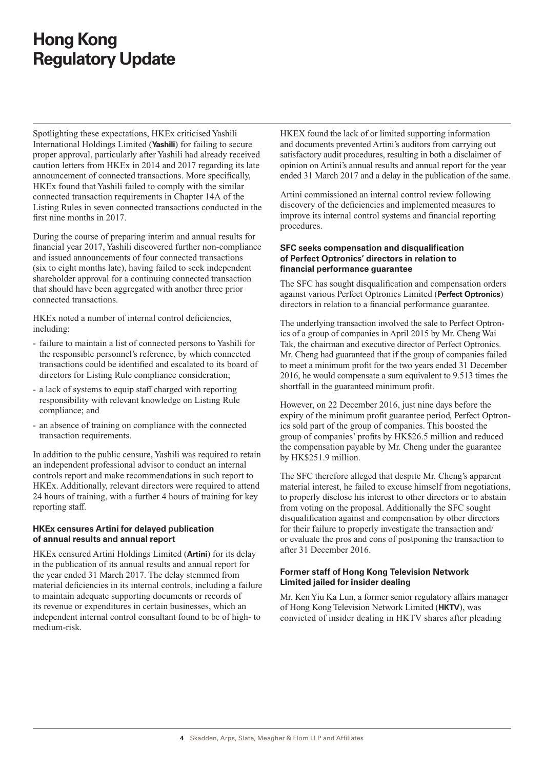Spotlighting these expectations, HKEx criticised Yashili International Holdings Limited (**Yashili**) for failing to secure proper approval, particularly after Yashili had already received caution letters from HKEx in 2014 and 2017 regarding its late announcement of connected transactions. More specifically, HKEx found that Yashili failed to comply with the similar connected transaction requirements in Chapter 14A of the Listing Rules in seven connected transactions conducted in the first nine months in 2017.

During the course of preparing interim and annual results for financial year 2017, Yashili discovered further non-compliance and issued announcements of four connected transactions (six to eight months late), having failed to seek independent shareholder approval for a continuing connected transaction that should have been aggregated with another three prior connected transactions.

HKEx noted a number of internal control deficiencies, including:

- failure to maintain a list of connected persons to Yashili for the responsible personnel's reference, by which connected transactions could be identified and escalated to its board of directors for Listing Rule compliance consideration;
- a lack of systems to equip staff charged with reporting responsibility with relevant knowledge on Listing Rule compliance; and
- an absence of training on compliance with the connected transaction requirements.

In addition to the public censure, Yashili was required to retain an independent professional advisor to conduct an internal controls report and make recommendations in such report to HKEx. Additionally, relevant directors were required to attend 24 hours of training, with a further 4 hours of training for key reporting staff.

## **HKEx censures Artini for delayed publication of annual results and annual report**

HKEx censured Artini Holdings Limited (**Artini**) for its delay in the publication of its annual results and annual report for the year ended 31 March 2017. The delay stemmed from material deficiencies in its internal controls, including a failure to maintain adequate supporting documents or records of its revenue or expenditures in certain businesses, which an independent internal control consultant found to be of high- to medium-risk.

HKEX found the lack of or limited supporting information and documents prevented Artini's auditors from carrying out satisfactory audit procedures, resulting in both a disclaimer of opinion on Artini's annual results and annual report for the year ended 31 March 2017 and a delay in the publication of the same.

Artini commissioned an internal control review following discovery of the deficiencies and implemented measures to improve its internal control systems and financial reporting procedures.

### **SFC seeks compensation and disqualification of Perfect Optronics' directors in relation to financial performance guarantee**

The SFC has sought disqualification and compensation orders against various Perfect Optronics Limited (**Perfect Optronics**) directors in relation to a financial performance guarantee.

The underlying transaction involved the sale to Perfect Optronics of a group of companies in April 2015 by Mr. Cheng Wai Tak, the chairman and executive director of Perfect Optronics. Mr. Cheng had guaranteed that if the group of companies failed to meet a minimum profit for the two years ended 31 December 2016, he would compensate a sum equivalent to 9.513 times the shortfall in the guaranteed minimum profit.

However, on 22 December 2016, just nine days before the expiry of the minimum profit guarantee period, Perfect Optronics sold part of the group of companies. This boosted the group of companies' profits by HK\$26.5 million and reduced the compensation payable by Mr. Cheng under the guarantee by HK\$251.9 million.

The SFC therefore alleged that despite Mr. Cheng's apparent material interest, he failed to excuse himself from negotiations, to properly disclose his interest to other directors or to abstain from voting on the proposal. Additionally the SFC sought disqualification against and compensation by other directors for their failure to properly investigate the transaction and/ or evaluate the pros and cons of postponing the transaction to after 31 December 2016.

## **Former staff of Hong Kong Television Network Limited jailed for insider dealing**

Mr. Ken Yiu Ka Lun, a former senior regulatory affairs manager of Hong Kong Television Network Limited (**HKTV**), was convicted of insider dealing in HKTV shares after pleading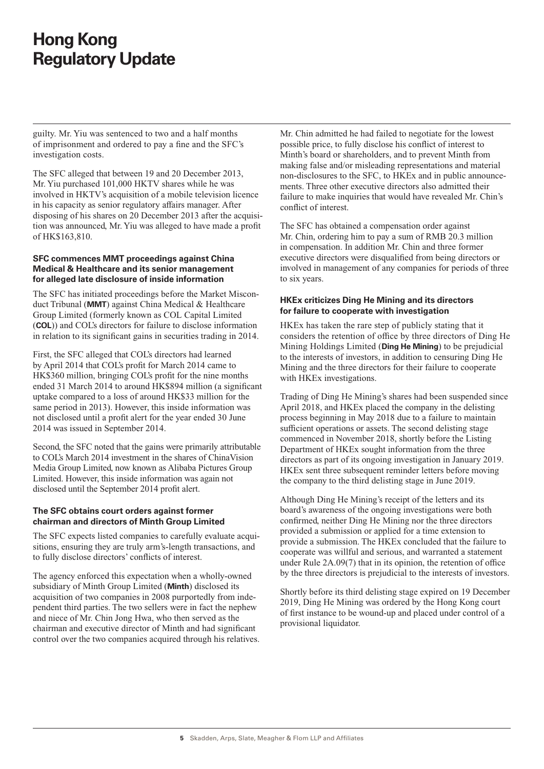guilty. Mr. Yiu was sentenced to two and a half months of imprisonment and ordered to pay a fine and the SFC's investigation costs.

The SFC alleged that between 19 and 20 December 2013, Mr. Yiu purchased 101,000 HKTV shares while he was involved in HKTV's acquisition of a mobile television licence in his capacity as senior regulatory affairs manager. After disposing of his shares on 20 December 2013 after the acquisition was announced, Mr. Yiu was alleged to have made a profit of HK\$163,810.

## **SFC commences MMT proceedings against China Medical & Healthcare and its senior management for alleged late disclosure of inside information**

The SFC has initiated proceedings before the Market Misconduct Tribunal (**MMT**) against China Medical & Healthcare Group Limited (formerly known as COL Capital Limited (**COL**)) and COL's directors for failure to disclose information in relation to its significant gains in securities trading in 2014.

First, the SFC alleged that COL's directors had learned by April 2014 that COL's profit for March 2014 came to HK\$360 million, bringing COL's profit for the nine months ended 31 March 2014 to around HK\$894 million (a significant uptake compared to a loss of around HK\$33 million for the same period in 2013). However, this inside information was not disclosed until a profit alert for the year ended 30 June 2014 was issued in September 2014.

Second, the SFC noted that the gains were primarily attributable to COL's March 2014 investment in the shares of ChinaVision Media Group Limited, now known as Alibaba Pictures Group Limited. However, this inside information was again not disclosed until the September 2014 profit alert.

## **The SFC obtains court orders against former chairman and directors of Minth Group Limited**

The SFC expects listed companies to carefully evaluate acquisitions, ensuring they are truly arm's-length transactions, and to fully disclose directors' conflicts of interest.

The agency enforced this expectation when a wholly-owned subsidiary of Minth Group Limited (**Minth**) disclosed its acquisition of two companies in 2008 purportedly from independent third parties. The two sellers were in fact the nephew and niece of Mr. Chin Jong Hwa, who then served as the chairman and executive director of Minth and had significant control over the two companies acquired through his relatives.

Mr. Chin admitted he had failed to negotiate for the lowest possible price, to fully disclose his conflict of interest to Minth's board or shareholders, and to prevent Minth from making false and/or misleading representations and material non-disclosures to the SFC, to HKEx and in public announcements. Three other executive directors also admitted their failure to make inquiries that would have revealed Mr. Chin's conflict of interest.

The SFC has obtained a compensation order against Mr. Chin, ordering him to pay a sum of RMB 20.3 million in compensation. In addition Mr. Chin and three former executive directors were disqualified from being directors or involved in management of any companies for periods of three to six years.

## **HKEx criticizes Ding He Mining and its directors for failure to cooperate with investigation**

HKEx has taken the rare step of publicly stating that it considers the retention of office by three directors of Ding He Mining Holdings Limited (**Ding He Mining**) to be prejudicial to the interests of investors, in addition to censuring Ding He Mining and the three directors for their failure to cooperate with HKEx investigations.

Trading of Ding He Mining's shares had been suspended since April 2018, and HKEx placed the company in the delisting process beginning in May 2018 due to a failure to maintain sufficient operations or assets. The second delisting stage commenced in November 2018, shortly before the Listing Department of HKEx sought information from the three directors as part of its ongoing investigation in January 2019. HKEx sent three subsequent reminder letters before moving the company to the third delisting stage in June 2019.

Although Ding He Mining's receipt of the letters and its board's awareness of the ongoing investigations were both confirmed, neither Ding He Mining nor the three directors provided a submission or applied for a time extension to provide a submission. The HKEx concluded that the failure to cooperate was willful and serious, and warranted a statement under Rule 2A.09(7) that in its opinion, the retention of office by the three directors is prejudicial to the interests of investors.

Shortly before its third delisting stage expired on 19 December 2019, Ding He Mining was ordered by the Hong Kong court of first instance to be wound-up and placed under control of a provisional liquidator.